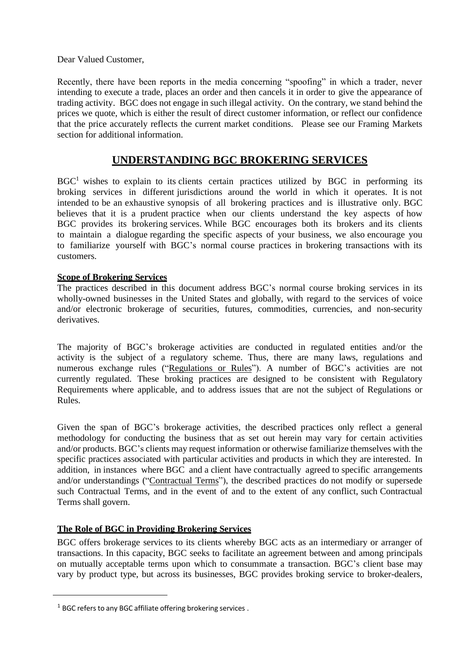Dear Valued Customer,

Recently, there have been reports in the media concerning "spoofing" in which a trader, never intending to execute a trade, places an order and then cancels it in order to give the appearance of trading activity. BGC does not engage in such illegal activity. On the contrary, we stand behind the prices we quote, which is either the result of direct customer information, or reflect our confidence that the price accurately reflects the current market conditions. Please see our Framing Markets section for additional information.

# **UNDERSTANDING BGC BROKERING SERVICES**

 $BGC<sup>1</sup>$  wishes to explain to its clients certain practices utilized by BGC in performing its broking services in different jurisdictions around the world in which it operates. It is not intended to be an exhaustive synopsis of all brokering practices and is illustrative only. BGC believes that it is a prudent practice when our clients understand the key aspects of how BGC provides its brokering services. While BGC encourages both its brokers and its clients to maintain a dialogue regarding the specific aspects of your business, we also encourage you to familiarize yourself with BGC's normal course practices in brokering transactions with its customers.

# **Scope of Brokering Services**

The practices described in this document address BGC's normal course broking services in its wholly-owned businesses in the United States and globally, with regard to the services of voice and/or electronic brokerage of securities, futures, commodities, currencies, and non-security derivatives.

The majority of BGC's brokerage activities are conducted in regulated entities and/or the activity is the subject of a regulatory scheme. Thus, there are many laws, regulations and numerous exchange rules ("Regulations or Rules"). A number of BGC's activities are not currently regulated. These broking practices are designed to be consistent with Regulatory Requirements where applicable, and to address issues that are not the subject of Regulations or Rules.

Given the span of BGC's brokerage activities, the described practices only reflect a general methodology for conducting the business that as set out herein may vary for certain activities and/or products. BGC's clients may request information or otherwise familiarize themselves with the specific practices associated with particular activities and products in which they are interested. In addition, in instances where BGC and a client have contractually agreed to specific arrangements and/or understandings ("Contractual Terms"), the described practices do not modify or supersede such Contractual Terms, and in the event of and to the extent of any conflict, such Contractual Terms shall govern.

# **The Role of BGC in Providing Brokering Services**

BGC offers brokerage services to its clients whereby BGC acts as an intermediary or arranger of transactions. In this capacity, BGC seeks to facilitate an agreement between and among principals on mutually acceptable terms upon which to consummate a transaction. BGC's client base may vary by product type, but across its businesses, BGC provides broking service to broker-dealers,

 $1$  BGC refers to any BGC affiliate offering brokering services.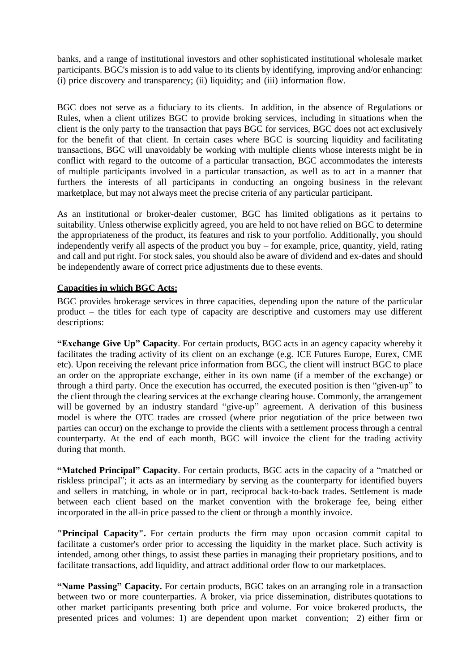banks, and a range of institutional investors and other sophisticated institutional wholesale market participants. BGC's mission is to add value to its clients by identifying, improving and/or enhancing: (i) price discovery and transparency; (ii) liquidity; and (iii) information flow.

BGC does not serve as a fiduciary to its clients. In addition, in the absence of Regulations or Rules, when a client utilizes BGC to provide broking services, including in situations when the client is the only party to the transaction that pays BGC for services, BGC does not act exclusively for the benefit of that client. In certain cases where BGC is sourcing liquidity and facilitating transactions, BGC will unavoidably be working with multiple clients whose interests might be in conflict with regard to the outcome of a particular transaction, BGC accommodates the interests of multiple participants involved in a particular transaction, as well as to act in a manner that furthers the interests of all participants in conducting an ongoing business in the relevant marketplace, but may not always meet the precise criteria of any particular participant.

As an institutional or broker-dealer customer, BGC has limited obligations as it pertains to suitability. Unless otherwise explicitly agreed, you are held to not have relied on BGC to determine the appropriateness of the product, its features and risk to your portfolio. Additionally, you should independently verify all aspects of the product you buy – for example, price, quantity, yield, rating and call and put right. For stock sales, you should also be aware of dividend and ex-dates and should be independently aware of correct price adjustments due to these events.

#### **Capacities in which BGC Acts:**

BGC provides brokerage services in three capacities, depending upon the nature of the particular product – the titles for each type of capacity are descriptive and customers may use different descriptions:

**"Exchange Give Up" Capacity**. For certain products, BGC acts in an agency capacity whereby it facilitates the trading activity of its client on an exchange (e.g. ICE Futures Europe, Eurex, CME etc). Upon receiving the relevant price information from BGC, the client will instruct BGC to place an order on the appropriate exchange, either in its own name (if a member of the exchange) or through a third party. Once the execution has occurred, the executed position is then "given-up" to the client through the clearing services at the exchange clearing house. Commonly, the arrangement will be governed by an industry standard "give-up" agreement. A derivation of this business model is where the OTC trades are crossed (where prior negotiation of the price between two parties can occur) on the exchange to provide the clients with a settlement process through a central counterparty. At the end of each month, BGC will invoice the client for the trading activity during that month.

**"Matched Principal" Capacity**. For certain products, BGC acts in the capacity of a "matched or riskless principal"; it acts as an intermediary by serving as the counterparty for identified buyers and sellers in matching, in whole or in part, reciprocal back-to-back trades. Settlement is made between each client based on the market convention with the brokerage fee, being either incorporated in the all-in price passed to the client or through a monthly invoice.

**"Principal Capacity".** For certain products the firm may upon occasion commit capital to facilitate a customer's order prior to accessing the liquidity in the market place. Such activity is intended, among other things, to assist these parties in managing their proprietary positions, and to facilitate transactions, add liquidity, and attract additional order flow to our marketplaces.

**"Name Passing" Capacity.** For certain products, BGC takes on an arranging role in a transaction between two or more counterparties. A broker, via price dissemination, distributes quotations to other market participants presenting both price and volume. For voice brokered products, the presented prices and volumes: 1) are dependent upon market convention; 2) either firm or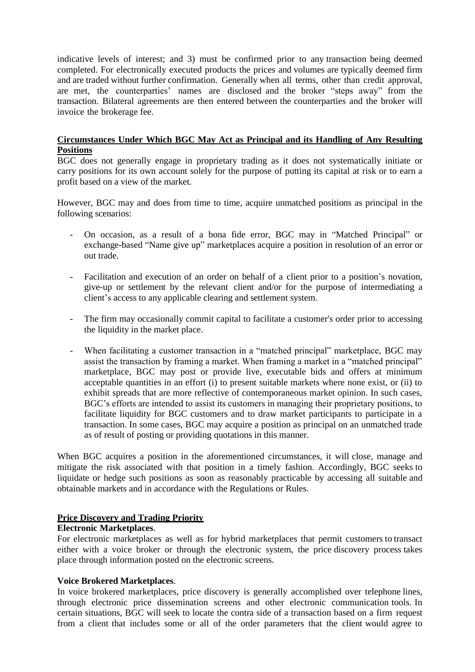indicative levels of interest; and 3) must be confirmed prior to any transaction being deemed completed. For electronically executed products the prices and volumes are typically deemed firm and are traded without further confirmation. Generally when all terms, other than credit approval, are met, the counterparties' names are disclosed and the broker "steps away" from the transaction. Bilateral agreements are then entered between the counterparties and the broker will invoice the brokerage fee.

# **Circumstances Under Which BGC May Act as Principal and its Handling of Any Resulting Positions**

BGC does not generally engage in proprietary trading as it does not systematically initiate or carry positions for its own account solely for the purpose of putting its capital at risk or to earn a profit based on a view of the market.

However, BGC may and does from time to time, acquire unmatched positions as principal in the following scenarios:

- On occasion, as a result of a bona fide error, BGC may in "Matched Principal" or exchange-based "Name give up" marketplaces acquire a position in resolution of an error or out trade.
- Facilitation and execution of an order on behalf of a client prior to a position's novation, give-up or settlement by the relevant client and/or for the purpose of intermediating a client's access to any applicable clearing and settlement system.
- The firm may occasionally commit capital to facilitate a customer's order prior to accessing the liquidity in the market place.
- When facilitating a customer transaction in a "matched principal" marketplace, BGC may assist the transaction by framing a market. When framing a market in a "matched principal" marketplace, BGC may post or provide live, executable bids and offers at minimum acceptable quantities in an effort (i) to present suitable markets where none exist, or (ii) to exhibit spreads that are more reflective of contemporaneous market opinion. In such cases, BGC's efforts are intended to assist its customers in managing their proprietary positions, to facilitate liquidity for BGC customers and to draw market participants to participate in a transaction. In some cases, BGC may acquire a position as principal on an unmatched trade as of result of posting or providing quotations in this manner.

When BGC acquires a position in the aforementioned circumstances, it will close, manage and mitigate the risk associated with that position in a timely fashion. Accordingly, BGC seeks to liquidate or hedge such positions as soon as reasonably practicable by accessing all suitable and obtainable markets and in accordance with the Regulations or Rules.

# **Price Discovery and Trading Priority**

# **Electronic Marketplaces**.

For electronic marketplaces as well as for hybrid marketplaces that permit customers to transact either with a voice broker or through the electronic system, the price discovery process takes place through information posted on the electronic screens.

# **Voice Brokered Marketplaces**.

In voice brokered marketplaces, price discovery is generally accomplished over telephone lines, through electronic price dissemination screens and other electronic communication tools. In certain situations, BGC will seek to locate the contra side of a transaction based on a firm request from a client that includes some or all of the order parameters that the client would agree to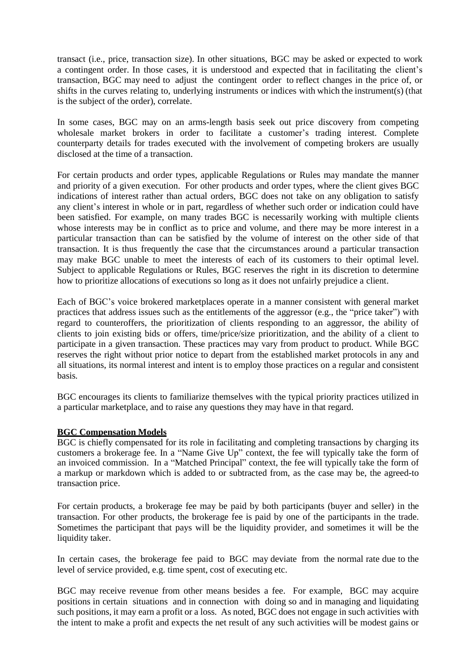transact (i.e., price, transaction size). In other situations, BGC may be asked or expected to work a contingent order. In those cases, it is understood and expected that in facilitating the client's transaction, BGC may need to adjust the contingent order to reflect changes in the price of, or shifts in the curves relating to, underlying instruments or indices with which the instrument(s) (that is the subject of the order), correlate.

In some cases, BGC may on an arms-length basis seek out price discovery from competing wholesale market brokers in order to facilitate a customer's trading interest. Complete counterparty details for trades executed with the involvement of competing brokers are usually disclosed at the time of a transaction.

For certain products and order types, applicable Regulations or Rules may mandate the manner and priority of a given execution. For other products and order types, where the client gives BGC indications of interest rather than actual orders, BGC does not take on any obligation to satisfy any client's interest in whole or in part, regardless of whether such order or indication could have been satisfied. For example, on many trades BGC is necessarily working with multiple clients whose interests may be in conflict as to price and volume, and there may be more interest in a particular transaction than can be satisfied by the volume of interest on the other side of that transaction. It is thus frequently the case that the circumstances around a particular transaction may make BGC unable to meet the interests of each of its customers to their optimal level. Subject to applicable Regulations or Rules, BGC reserves the right in its discretion to determine how to prioritize allocations of executions so long as it does not unfairly prejudice a client.

Each of BGC's voice brokered marketplaces operate in a manner consistent with general market practices that address issues such as the entitlements of the aggressor (e.g., the "price taker") with regard to counteroffers, the prioritization of clients responding to an aggressor, the ability of clients to join existing bids or offers, time/price/size prioritization, and the ability of a client to participate in a given transaction. These practices may vary from product to product. While BGC reserves the right without prior notice to depart from the established market protocols in any and all situations, its normal interest and intent is to employ those practices on a regular and consistent basis.

BGC encourages its clients to familiarize themselves with the typical priority practices utilized in a particular marketplace, and to raise any questions they may have in that regard.

# **BGC Compensation Models**

BGC is chiefly compensated for its role in facilitating and completing transactions by charging its customers a brokerage fee. In a "Name Give Up" context, the fee will typically take the form of an invoiced commission. In a "Matched Principal" context, the fee will typically take the form of a markup or markdown which is added to or subtracted from, as the case may be, the agreed-to transaction price.

For certain products, a brokerage fee may be paid by both participants (buyer and seller) in the transaction. For other products, the brokerage fee is paid by one of the participants in the trade. Sometimes the participant that pays will be the liquidity provider, and sometimes it will be the liquidity taker.

In certain cases, the brokerage fee paid to BGC may deviate from the normal rate due to the level of service provided, e.g. time spent, cost of executing etc.

BGC may receive revenue from other means besides a fee. For example, BGC may acquire positions in certain situations and in connection with doing so and in managing and liquidating such positions, it may earn a profit or a loss. As noted, BGC does not engage in such activities with the intent to make a profit and expects the net result of any such activities will be modest gains or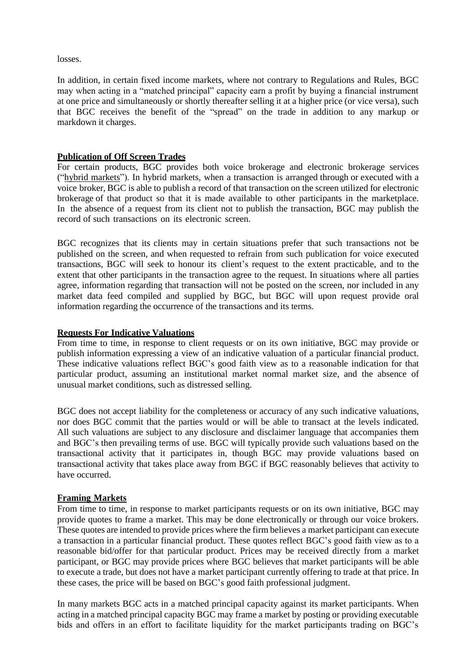losses.

In addition, in certain fixed income markets, where not contrary to Regulations and Rules, BGC may when acting in a "matched principal" capacity earn a profit by buying a financial instrument at one price and simultaneously or shortly thereafter selling it at a higher price (or vice versa), such that BGC receives the benefit of the "spread" on the trade in addition to any markup or markdown it charges.

#### **Publication of Off Screen Trades**

For certain products, BGC provides both voice brokerage and electronic brokerage services ("hybrid markets"). In hybrid markets, when a transaction is arranged through or executed with a voice broker, BGC is able to publish a record of that transaction on the screen utilized for electronic brokerage of that product so that it is made available to other participants in the marketplace. In the absence of a request from its client not to publish the transaction, BGC may publish the record of such transactions on its electronic screen.

BGC recognizes that its clients may in certain situations prefer that such transactions not be published on the screen, and when requested to refrain from such publication for voice executed transactions, BGC will seek to honour its client's request to the extent practicable, and to the extent that other participants in the transaction agree to the request. In situations where all parties agree, information regarding that transaction will not be posted on the screen, nor included in any market data feed compiled and supplied by BGC, but BGC will upon request provide oral information regarding the occurrence of the transactions and its terms.

### **Requests For Indicative Valuations**

From time to time, in response to client requests or on its own initiative, BGC may provide or publish information expressing a view of an indicative valuation of a particular financial product. These indicative valuations reflect BGC's good faith view as to a reasonable indication for that particular product, assuming an institutional market normal market size, and the absence of unusual market conditions, such as distressed selling.

BGC does not accept liability for the completeness or accuracy of any such indicative valuations, nor does BGC commit that the parties would or will be able to transact at the levels indicated. All such valuations are subject to any disclosure and disclaimer language that accompanies them and BGC's then prevailing terms of use. BGC will typically provide such valuations based on the transactional activity that it participates in, though BGC may provide valuations based on transactional activity that takes place away from BGC if BGC reasonably believes that activity to have occurred.

# **Framing Markets**

From time to time, in response to market participants requests or on its own initiative, BGC may provide quotes to frame a market. This may be done electronically or through our voice brokers. These quotes are intended to provide prices where the firm believes a market participant can execute a transaction in a particular financial product. These quotes reflect BGC's good faith view as to a reasonable bid/offer for that particular product. Prices may be received directly from a market participant, or BGC may provide prices where BGC believes that market participants will be able to execute a trade, but does not have a market participant currently offering to trade at that price. In these cases, the price will be based on BGC's good faith professional judgment.

In many markets BGC acts in a matched principal capacity against its market participants. When acting in a matched principal capacity BGC may frame a market by posting or providing executable bids and offers in an effort to facilitate liquidity for the market participants trading on BGC's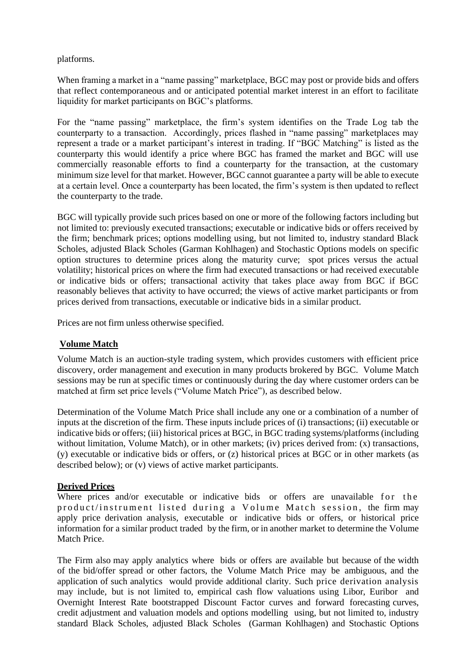platforms.

When framing a market in a "name passing" marketplace, BGC may post or provide bids and offers that reflect contemporaneous and or anticipated potential market interest in an effort to facilitate liquidity for market participants on BGC's platforms.

For the "name passing" marketplace, the firm's system identifies on the Trade Log tab the counterparty to a transaction. Accordingly, prices flashed in "name passing" marketplaces may represent a trade or a market participant's interest in trading. If "BGC Matching" is listed as the counterparty this would identify a price where BGC has framed the market and BGC will use commercially reasonable efforts to find a counterparty for the transaction, at the customary minimum size level for that market. However, BGC cannot guarantee a party will be able to execute at a certain level. Once a counterparty has been located, the firm's system is then updated to reflect the counterparty to the trade.

BGC will typically provide such prices based on one or more of the following factors including but not limited to: previously executed transactions; executable or indicative bids or offers received by the firm; benchmark prices; options modelling using, but not limited to, industry standard Black Scholes, adjusted Black Scholes (Garman Kohlhagen) and Stochastic Options models on specific option structures to determine prices along the maturity curve; spot prices versus the actual volatility; historical prices on where the firm had executed transactions or had received executable or indicative bids or offers; transactional activity that takes place away from BGC if BGC reasonably believes that activity to have occurred; the views of active market participants or from prices derived from transactions, executable or indicative bids in a similar product.

Prices are not firm unless otherwise specified.

# **Volume Match**

Volume Match is an auction-style trading system, which provides customers with efficient price discovery, order management and execution in many products brokered by BGC. Volume Match sessions may be run at specific times or continuously during the day where customer orders can be matched at firm set price levels ("Volume Match Price"), as described below.

Determination of the Volume Match Price shall include any one or a combination of a number of inputs at the discretion of the firm. These inputs include prices of (i) transactions; (ii) executable or indicative bids or offers; (iii) historical prices at BGC, in BGC trading systems/platforms (including without limitation, Volume Match), or in other markets; (iv) prices derived from: (x) transactions, (y) executable or indicative bids or offers, or (z) historical prices at BGC or in other markets (as described below); or (v) views of active market participants.

# **Derived Prices**

Where prices and/or executable or indicative bids or offers are unavailable for the product/instrument listed during a Volume Match session, the firm may apply price derivation analysis, executable or indicative bids or offers, or historical price information for a similar product traded by the firm, or in another market to determine the Volume Match Price.

The Firm also may apply analytics where bids or offers are available but because of the width of the bid/offer spread or other factors, the Volume Match Price may be ambiguous, and the application of such analytics would provide additional clarity. Such price derivation analysis may include, but is not limited to, empirical cash flow valuations using Libor, Euribor and Overnight Interest Rate bootstrapped Discount Factor curves and forward forecasting curves, credit adjustment and valuation models and options modelling using, but not limited to, industry standard Black Scholes, adjusted Black Scholes (Garman Kohlhagen) and Stochastic Options